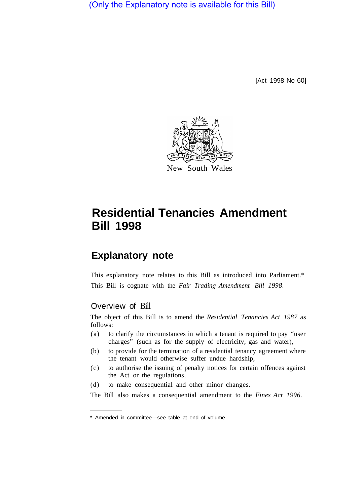(Only the Explanatory note is available for this Bill)

[Act 1998 No 60]



# **Residential Tenancies Amendment Bill 1998**

## **Explanatory note**

This explanatory note relates to this Bill as introduced into Parliament.\* This Bill is cognate with the *Fair Trading Amendment Bill 1998.* 

### Overview of Bill

The object of this Bill is to amend the *Residential Tenancies Act 1987* as follows:

- (a) to clarify the circumstances in which a tenant is required to pay "user charges" (such as for the supply of electricity, gas and water),
- (b) to provide for the termination of a residential tenancy agreement where the tenant would otherwise suffer undue hardship,
- (c) to authorise the issuing of penalty notices for certain offences against the Act or the regulations,
- (d) to make consequential and other minor changes.

The Bill also makes a consequential amendment to the *Fines Act 1996.* 

<sup>\*</sup> Amended in committee—see table at end of volume.